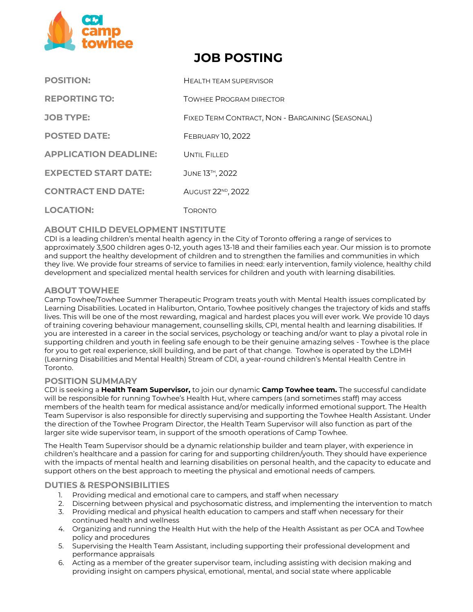

# **JOB POSTING**

| <b>POSITION:</b>             | <b>HEALTH TEAM SUPERVISOR</b>                    |
|------------------------------|--------------------------------------------------|
| <b>REPORTING TO:</b>         | <b>TOWHEE PROGRAM DIRECTOR</b>                   |
| <b>JOB TYPE:</b>             | FIXED TERM CONTRACT, NON - BARGAINING (SEASONAL) |
| <b>POSTED DATE:</b>          | <b>FEBRUARY 10, 2022</b>                         |
| <b>APPLICATION DEADLINE:</b> | UNTIL FILLED                                     |
| <b>EXPECTED START DATE:</b>  | JUNE 13 <sup>TH</sup> , 2022                     |
| <b>CONTRACT END DATE:</b>    | AUGUST 22 <sup>ND</sup> , 2022                   |
| <b>LOCATION:</b>             | Toronto                                          |

# **ABOUT CHILD DEVELOPMENT INSTITUTE**

CDI is a leading children's mental health agency in the City of Toronto offering a range of services to approximately 3,500 children ages 0‐12, youth ages 13-18 and their families each year. Our mission is to promote and support the healthy development of children and to strengthen the families and communities in which they live. We provide four streams of service to families in need: early intervention, family violence, healthy child development and specialized mental health services for children and youth with learning disabilities.

## **ABOUT TOWHEE**

Camp Towhee/Towhee Summer Therapeutic Program treats youth with Mental Health issues complicated by Learning Disabilities. Located in Haliburton, Ontario, Towhee positively changes the trajectory of kids and staffs lives. This will be one of the most rewarding, magical and hardest places you will ever work. We provide 10 days of training covering behaviour management, counselling skills, CPI, mental health and learning disabilities. If you are interested in a career in the social services, psychology or teaching and/or want to play a pivotal role in supporting children and youth in feeling safe enough to be their genuine amazing selves - Towhee is the place for you to get real experience, skill building, and be part of that change. Towhee is operated by the LDMH (Learning Disabilities and Mental Health) Stream of CDI, a year-round children's Mental Health Centre in Toronto.

### **POSITION SUMMARY**

CDI is seeking a **Health Team Supervisor,** to join our dynamic **Camp Towhee team.** The successful candidate will be responsible for running Towhee's Health Hut, where campers (and sometimes staff) may access members of the health team for medical assistance and/or medically informed emotional support. The Health Team Supervisor is also responsible for directly supervising and supporting the Towhee Health Assistant. Under the direction of the Towhee Program Director, the Health Team Supervisor will also function as part of the larger site wide supervisor team, in support of the smooth operations of Camp Towhee.

The Health Team Supervisor should be a dynamic relationship builder and team player, with experience in children's healthcare and a passion for caring for and supporting children/youth. They should have experience with the impacts of mental health and learning disabilities on personal health, and the capacity to educate and support others on the best approach to meeting the physical and emotional needs of campers.

### **DUTIES & RESPONSIBILITIES**

- 1. Providing medical and emotional care to campers, and staff when necessary
- 2. Discerning between physical and psychosomatic distress, and implementing the intervention to match
- 3. Providing medical and physical health education to campers and staff when necessary for their continued health and wellness
- 4. Organizing and running the Health Hut with the help of the Health Assistant as per OCA and Towhee policy and procedures
- 5. Supervising the Health Team Assistant, including supporting their professional development and performance appraisals
- 6. Acting as a member of the greater supervisor team, including assisting with decision making and providing insight on campers physical, emotional, mental, and social state where applicable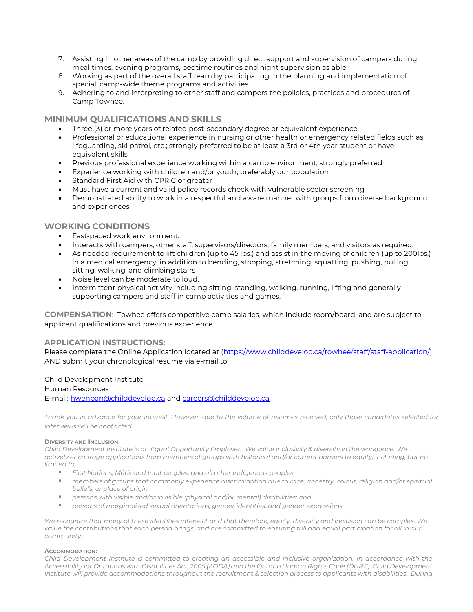- 7. Assisting in other areas of the camp by providing direct support and supervision of campers during meal times, evening programs, bedtime routines and night supervision as able
- 8. Working as part of the overall staff team by participating in the planning and implementation of special, camp-wide theme programs and activities
- 9. Adhering to and interpreting to other staff and campers the policies, practices and procedures of Camp Towhee.

### **MINIMUM QUALIFICATIONS AND SKILLS**

- Three (3) or more years of related post-secondary degree or equivalent experience.
- Professional or educational experience in nursing or other health or emergency related fields such as lifeguarding, ski patrol, etc.; strongly preferred to be at least a 3rd or 4th year student or have equivalent skills
- Previous professional experience working within a camp environment, strongly preferred
- Experience working with children and/or youth, preferably our population
- Standard First Aid with CPR C or greater
- Must have a current and valid police records check with vulnerable sector screening
- Demonstrated ability to work in a respectful and aware manner with groups from diverse background and experiences.

## **WORKING CONDITIONS**

- Fast-paced work environment.
- Interacts with campers, other staff, supervisors/directors, family members, and visitors as required.
- As needed requirement to lift children (up to 45 lbs.) and assist in the moving of children (up to 200lbs.) in a medical emergency, in addition to bending, stooping, stretching, squatting, pushing, pulling, sitting, walking, and climbing stairs
- Noise level can be moderate to loud.
- Intermittent physical activity including sitting, standing, walking, running, lifting and generally supporting campers and staff in camp activities and games.

**COMPENSATION**: Towhee offers competitive camp salaries, which include room/board, and are subject to applicant qualifications and previous experience

### **APPLICATION INSTRUCTIONS:**

Please complete the Online Application located at [\(https://www.childdevelop.ca/towhee/staff/staff-application/\)](https://www.childdevelop.ca/towhee/staff/staff-application/) AND submit your chronological resume via e-mail to:

#### Child Development Institute

#### Human Resources

E-mail: [hwenban@childdevelop.ca](mailto:hwenban@childdevelop.ca) and [careers@childdevelop.ca](mailto:careers@childdevelop.ca)

*Thank you in advance for your interest. However, due to the volume of resumes received, only those candidates selected for interviews will be contacted.* 

#### **DIVERSITY AND INCLUSION:**

*Child Development Institute is an Equal Opportunity Employer. We value inclusivity & diversity in the workplace. We actively encourage applications from members of groups with historical and/or current barriers to equity, including, but not limited to,*

- *First Nations, Métis and Inuit peoples, and all other Indigenous peoples;*
- members of groups that commonly experience discrimination due to race, ancestry, colour, religion and/or spiritual *beliefs, or place of origin;*
- *persons with visible and/or invisible (physical and/or mental) disabilities; and*
- *persons of marginalized sexual orientations, gender identities, and gender expressions.*

We recognize that many of these identities intersect and that therefore, equity, diversity and inclusion can be complex. We *value the contributions that each person brings, and are committed to ensuring full and equal participation for all in our community.*

#### **ACCOMMODATION:**

*Child Development Institute is committed to creating an accessible and inclusive organization. In accordance with the Accessibility for Ontarians with Disabilities Act, 2005 (AODA) and the Ontario Human Rights Code (OHRC). Child Development Institute will provide accommodations throughout the recruitment & selection process to applicants with disabilities. During*